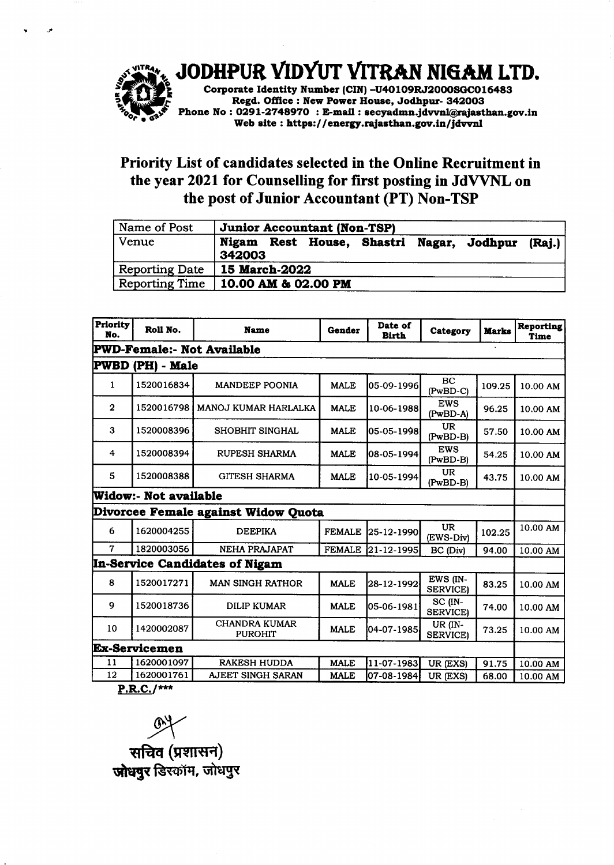

JODHPUR VIDYUT VITRAN NIGAM LTD.

Corporate Identity Number (CIN) -U40109RJ2000SGC016483 Regd. Offlce : New Power House, Jodhpur- 342OOo Phone No : 0291-2748970 : E-mail : secyadmn.jdvvnl@rajasthan.gov.in Web site : https://energy.rajasthan.gov.in/jdvvnl

## Priority List of candidates selected in the Online Recruitment in the year 2021 for Counselling for first posting in JdVVNL on the post of Junior Accountant (PT) Non-TSP

| Name of Post          | <b>Junior Accountant (Non-TSP)</b>                           |  |  |  |  |
|-----------------------|--------------------------------------------------------------|--|--|--|--|
| Venue                 | Nigam Rest House, Shastri Nagar, Jodhpur<br>(Rai.)<br>342003 |  |  |  |  |
| <b>Reporting Date</b> | 15 March-2022                                                |  |  |  |  |
| Reporting Time        | $10.00$ AM & 02.00 PM                                        |  |  |  |  |

| Priority<br>No.                   | Roll No.              | <b>Name</b>                            | <b>Gender</b> | Date of<br><b>Birth</b> | Category                          | <b>Marks</b> | <b>Reporting</b><br><b>Time</b> |
|-----------------------------------|-----------------------|----------------------------------------|---------------|-------------------------|-----------------------------------|--------------|---------------------------------|
| <b>PWD-Female:- Not Available</b> |                       |                                        |               |                         |                                   |              |                                 |
| PWBD (PH) - Male                  |                       |                                        |               |                         |                                   |              |                                 |
| 1                                 | 1520016834            | <b>MANDEEP POONIA</b>                  | <b>MALE</b>   | 05-09-1996              | <b>BC</b><br>$(PwBD-C)$           | 109.25       | 10.00 AM                        |
| $\mathbf{2}$                      | 1520016798            | MANOJ KUMAR HARLALKA                   | <b>MALE</b>   | 10-06-1988              | <b>EWS</b><br>(PwBD-A)            | 96.25        | 10.00 AM                        |
| 3                                 | 1520008396            | SHOBHIT SINGHAL                        | <b>MALE</b>   | 05-05-1998              | <b>UR</b><br>(PwBD-B)             | 57.50        | 10.00 AM                        |
| 4                                 | 1520008394            | RUPESH SHARMA                          | <b>MALE</b>   | 08-05-1994              | <b>EWS</b><br>$(PwBD-B)$          | 54.25        | 10.00 AM                        |
| 5                                 | 1520008388            | <b>GITESH SHARMA</b>                   | <b>MALE</b>   | 10-05-1994              | <b>UR</b><br>(PwBD-B)             | 43.75        | 10.00 AM                        |
|                                   | Widow:- Not available |                                        |               |                         |                                   |              |                                 |
|                                   |                       | Divorcee Female against Widow Quota    |               |                         |                                   |              |                                 |
| 6                                 | 1620004255            | <b>DEEPIKA</b>                         | <b>FEMALE</b> | 25-12-1990 <b> </b>     | <b>UR</b><br>(EWS-Div)            | 102.25       | 10.00 AM                        |
| 7                                 | 1820003056            | <b>NEHA PRAJAPAT</b>                   | <b>FEMALE</b> | $ 21 - 12 - 1995 $      | BC (Div)                          | 94.00        | 10.00 AM                        |
|                                   |                       | In-Service Candidates of Nigam         |               |                         |                                   |              |                                 |
| 8                                 | 1520017271            | <b>MAN SINGH RATHOR</b>                | <b>MALE</b>   | 28-12-1992              | EWS (IN-<br><b>SERVICE)</b>       | 83.25        | 10.00 AM                        |
| 9                                 | 1520018736            | <b>DILIP KUMAR</b>                     | <b>MALE</b>   | 05-06-1981              | $SC$ ( $IN$ -<br><b>SERVICE</b> ) | 74.00        | 10.00 AM                        |
| 10                                | 1420002087            | <b>CHANDRA KUMAR</b><br><b>PUROHIT</b> | <b>MALE</b>   | 04-07-1985              | UR (IN-<br><b>SERVICE</b>         | 73.25        | 10.00 AM                        |
| <b>Ex-Servicemen</b>              |                       |                                        |               |                         |                                   |              |                                 |
| 11                                | 1620001097            | RAKESH HUDDA                           | <b>MALE</b>   | 11-07-1983              | UR (EXS)                          | 91.75        | 10.00 AM                        |
| 12                                | 1620001761            | AJEET SINGH SARAN                      | <b>MALE</b>   | 07-08-1984              | UR (EXS)                          | 68.00        | 10.00 AM                        |

<u>P.R.C.</u>

**94** सचिव (प्रशासन) **जोधपुर डिस्कॉम, जोधपुर**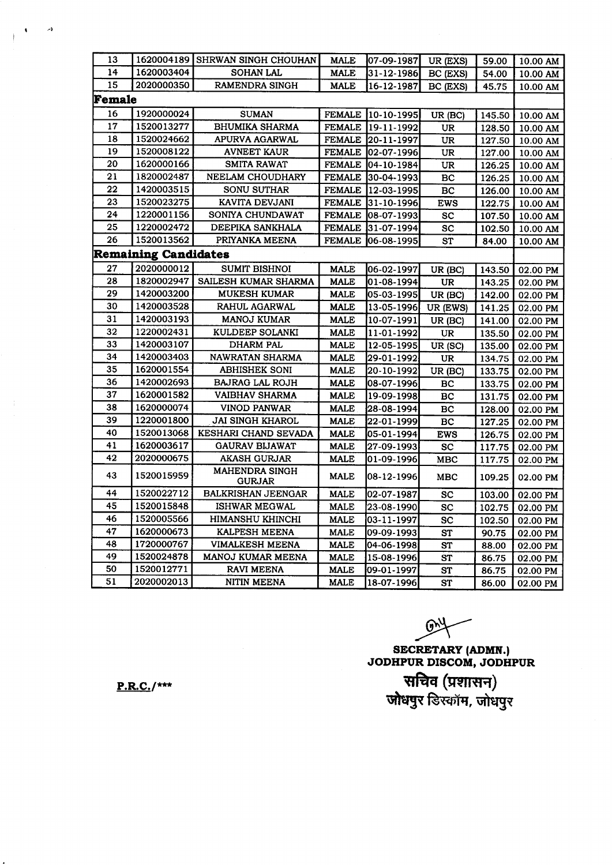| 13     |                             | 1620004189 SHRWAN SINGH CHOUHAN        | <b>MALE</b>   | 07-09-1987         | UR (EXS)        | 59.00  | 10.00 AM |
|--------|-----------------------------|----------------------------------------|---------------|--------------------|-----------------|--------|----------|
| 14     | 1620003404                  | <b>SOHAN LAL</b>                       | <b>MALE</b>   | 31-12-1986         | BC (EXS)        | 54.00  | 10.00 AM |
| 15     | 2020000350                  | RAMENDRA SINGH                         | <b>MALE</b>   | 16-12-1987         | BC (EXS)        | 45.75  | 10.00 AM |
| Female |                             |                                        |               |                    |                 |        |          |
| 16     | 1920000024                  | <b>SUMAN</b>                           |               | FEMALE 10-10-1995  | UR (BC)         | 145.50 | 10.00 AM |
| 17     | 1520013277                  | BHUMIKA SHARMA                         |               | FEMALE 19-11-1992  | UR              | 128.50 | 10.00 AM |
| 18     | 1520024662                  | APURVA AGARWAL                         |               | FEMALE 20-11-1997  | UR              | 127.50 | 10.00 AM |
| 19     | 1520008122                  | <b>AVNEET KAUR</b>                     |               | FEMALE 02-07-1996  | UR              | 127.00 | 10.00 AM |
| 20     | 1620000166                  | SMITA RAWAT                            |               | FEMALE 04-10-1984  | UR              | 126.25 | 10.00 AM |
| 21     | 1820002487                  | NEELAM CHOUDHARY                       |               | FEMALE 30-04-1993  | BC              | 126.25 | 10.00 AM |
| 22     | 1420003515                  | <b>SONU SUTHAR</b>                     |               | FEMALE 12-03-1995  | BC              | 126.00 | 10.00 AM |
| 23     | 1520023275                  | KAVITA DEVJANI                         |               | FEMALE 31-10-1996  | <b>EWS</b>      | 122.75 | 10.00 AM |
| 24     | 1220001156                  | SONIYA CHUNDAWAT                       |               | FEMALE  08-07-1993 | <b>SC</b>       | 107.50 | 10.00 AM |
| 25     | 1220002472                  | DEEPIKA SANKHALA                       |               | FEMALE 31-07-1994  | SC              | 102.50 | 10.00 AM |
| 26     | 1520013562                  | PRIYANKA MEENA                         | <b>FEMALE</b> | 06-08-1995         | <b>ST</b>       | 84.00  | 10.00 AM |
|        | <b>Remaining Candidates</b> |                                        |               |                    |                 |        |          |
| 27     | 2020000012                  | <b>SUMIT BISHNOI</b>                   | <b>MALE</b>   | 06-02-1997         | UR (BC)         | 143.50 | 02.00 PM |
| 28     | 1820002947                  | SAILESH KUMAR SHARMA                   | <b>MALE</b>   | 01-08-1994         | <b>UR</b>       | 143.25 | 02.00 PM |
| 29     | 1420003200                  | <b>MUKESH KUMAR</b>                    | <b>MALE</b>   | 05-03-1995         | UR (BC)         | 142.00 | 02.00 PM |
| 30     | 1420003528                  | RAHUL AGARWAL                          | <b>MALE</b>   | 13-05-1996         | UR (EWS)        | 141.25 | 02.00 PM |
| 31     | 1420003193                  | <b>MANOJ KUMAR</b>                     | <b>MALE</b>   | 10-07-1991         | UR (BC)         | 141.00 | 02.00 PM |
| 32     | 1220002431                  | KULDEEP SOLANKI                        | <b>MALE</b>   | 11-01-1992         | <b>UR</b>       | 135.50 | 02.00 PM |
| 33     | 1420003107                  | DHARM PAL                              | <b>MALE</b>   | 12-05-1995         | UR (SC)         | 135.00 | 02.00 PM |
| 34     | 1420003403                  | NAWRATAN SHARMA                        | <b>MALE</b>   | 29-01-1992         | UR              | 134.75 | 02.00 PM |
| 35     | 1620001554                  | ABHISHEK SONI                          | MALE          | 20-10-1992         | UR (BC)         | 133.75 | 02.00 PM |
| 36     | 1420002693                  | <b>BAJRAG LAL ROJH</b>                 | <b>MALE</b>   | 08-07-1996         | BC              | 133.75 | 02.00 PM |
| 37     | 1620001582                  | VAIBHAV SHARMA                         | <b>MALE</b>   | 19-09-1998         | BC              | 131.75 | 02.00 PM |
| 38     | 1620000074                  | VINOD PANWAR                           | <b>MALE</b>   | 28-08-1994         | BC              | 128.00 | 02.00 PM |
| 39     | 1220001800                  | <b>JAI SINGH KHAROL</b>                | <b>MALE</b>   | 22-01-1999         | BC              | 127.25 | 02.00 PM |
| 40     | 1520013068                  | KESHARI CHAND SEVADA                   | <b>MALE</b>   | 05-01-1994         | <b>EWS</b>      | 126.75 | 02.00 PM |
| 41     | 1620003617                  | GAURAV BIJAWAT                         | <b>MALE</b>   | 27-09-1993         | $\overline{SC}$ | 117.75 | 02.00 PM |
| 42     | 2020000675                  | <b>AKASH GURJAR</b>                    | <b>MALE</b>   | 01-09-1996         | MBC             | 117.75 | 02.00 PM |
| 43     | 1520015959                  | <b>MAHENDRA SINGH</b><br><b>GURJAR</b> | MALE          | 08-12-1996         | MBC             | 109.25 | 02.00 PM |
| 44     | 1520022712                  | <b>BALKRISHAN JEENGAR</b>              | MALE          | 02-07-1987         | <b>SC</b>       | 103.00 | 02.00 PM |
| 45     | 1520015848                  | <b>ISHWAR MEGWAL</b>                   | MALE          | 23-08-1990         | <b>SC</b>       | 102.75 | 02.00 PM |
| 46     | 1520005566                  | <b>HIMANSHU KHINCHI</b>                | <b>MALE</b>   | 03-11-1997         | <b>SC</b>       | 102.50 | 02.00 PM |
| 47     | 1620000673                  | KALPESH MEENA                          | <b>MALE</b>   | 09-09-1993         | <b>ST</b>       | 90.75  | 02.00 PM |
| 48     | 1720000767                  | <b>VIMALKESH MEENA</b>                 | <b>MALE</b>   | 04-06-1998         | <b>ST</b>       | 88.00  | 02.00 PM |
| 49     | 1520024878                  | MANOJ KUMAR MEENA                      | <b>MALE</b>   | 15-08-1996         | <b>ST</b>       | 86.75  | 02.00 PM |
| 50     | 1520012771                  | RAVI MEENA                             | <b>MALE</b>   | 09-01-1997         | ST              | 86.75  | 02.00 PM |
| 51     | 2020002013                  | NITIN MEENA                            | <b>MALE</b>   | 18-07-1996         | ST              | 86.00  | 02.00 PM |

 $\mathbb{R}$ 

SECRETARY (ADMN.)<br>JODHPUR DISCOM, JODHPUR सचिव (प्रशासन)<br>जोधपुर डिस्कॉम, जोधपुर

 $P.R.C.$ /\*\*\*

 $\rightarrow$